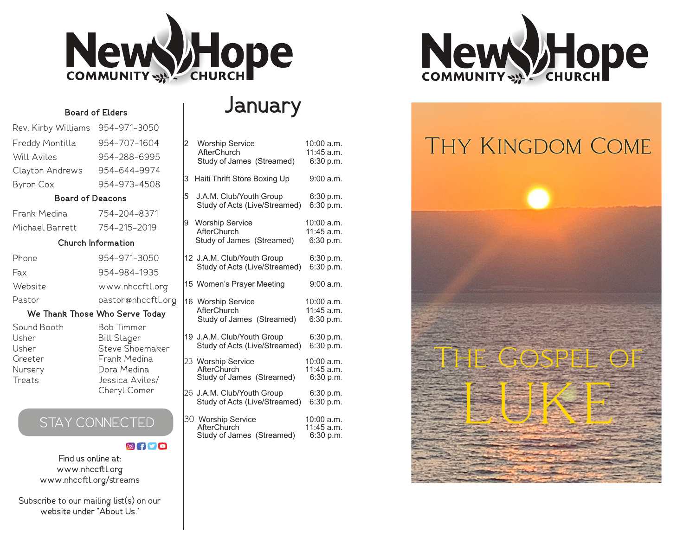

## **January**

## Rev. Kirby Williams 954-971-3050 Freddy Montilla 954-707-1604 Will Aviles 954-288-6995 Clayton Andrews 954-644-9974 Byron Cox 954-973-4508

**Board of Elders**

#### **Board of Deacons**

| Frank Medina    | 754-204-8371 |
|-----------------|--------------|
| Michael Barrett | 754-215-2019 |

#### **Church Information**

| 954-971-3050       |
|--------------------|
| 954-984-1935       |
| www.nhccftl.org    |
| pastor@nhccftl.org |
|                    |

#### **We Thank Those Who Serve Today**

Bob Timmer Bill Slager Steve Shoemaker Frank Medina Dora Medina Jessica Aviles/ Cheryl Comer

| Sound Booth |  |
|-------------|--|
| Usher       |  |
| Usher       |  |
| Greeter     |  |
| Nursery     |  |
| Treats      |  |
|             |  |

## STAY CONNECTED

## **Ofyo**

Find us online at: www.nhccftl.org www.nhccftl.org/streams

Subscribe to our mailing list(s) on our website under "About Us."

| 2 | Worship Service                          | 10:00 a.m.               |
|---|------------------------------------------|--------------------------|
|   | AfterChurch                              | 11:45 a.m.               |
|   | Study of James (Streamed)                | 6:30 p.m.                |
| 3 | Haiti Thrift Store Boxing Up             | 9:00 a.m.                |
| 5 | J.A.M. Club/Youth Group                  | 6:30 p.m.                |
|   | Study of Acts (Live/Streamed)            | 6:30 p.m.                |
|   |                                          |                          |
| 9 | <b>Worship Service</b>                   | 10:00 a.m.               |
|   | AfterChurch                              | 11:45 a.m.               |
|   | Study of James (Streamed)                | 6:30 p.m.                |
|   | 12 J.A.M. Club/Youth Group               | 6:30 p.m.                |
|   | Study of Acts (Live/Streamed)            | 6:30 p.m.                |
|   |                                          |                          |
|   | 15 Women's Prayer Meeting                | 9:00 a.m.                |
|   |                                          |                          |
|   | 16 Worship Service                       | 10:00 a.m.               |
|   | AfterChurch                              | 11:45 a.m.               |
|   | Study of James (Streamed)                | 6:30 p.m.                |
|   | 19 J.A.M. Club/Youth Group               | 6:30 p.m.                |
|   | Study of Acts (Live/Streamed)            | 6:30 p.m.                |
|   |                                          |                          |
|   | 23 Worship Service                       | 10:00 a.m.               |
|   | AfterChurch<br>Study of James (Streamed) | 11:45 a.m.<br>6:30 p.m.  |
|   |                                          |                          |
|   | 26 J.A.M. Club/Youth Group               | 6:30 p.m.                |
|   | Study of Acts (Live/Streamed)            | 6:30 p.m.                |
|   |                                          |                          |
|   | 30 Worship Service<br>AfterChurch        | 10:00 a.m.<br>11:45 a.m. |
|   | Study of James (Streamed)                | 6:30 p.m.                |
|   |                                          |                          |



# **THY KINGDOM COME**

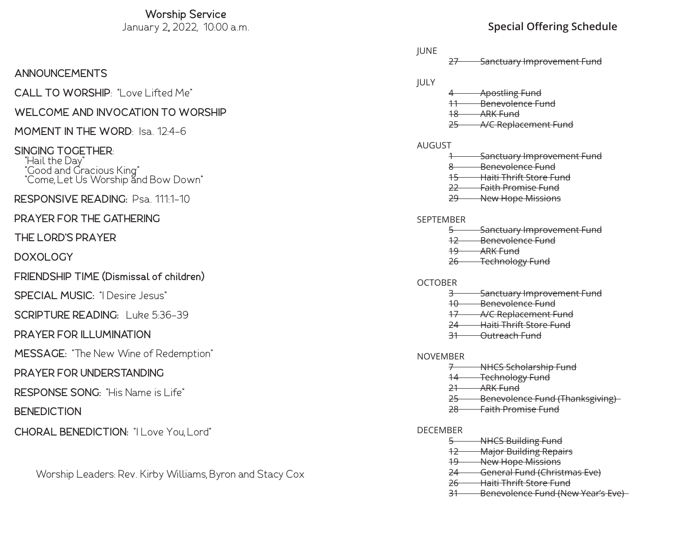## **Worship Service**

## **ANNOUNCEMENTS**

## **CALL TO WORSHIP**: "Love Lifted Me"

## **WELCOME AND INVOCATION TO WORSHIP**

# **MOMENT IN THE WORD**: Isa. 12:4-6 **SINGING TOGETHER**: "Hail the Day"

 "Good and Gracious King" "Come, Let Us Worship and Bow Down"

#### $\overline{a}$ **RESPONSIVE READING:** Psa. 111:1-10

## **PRAYER FOR THE GATHERING**

## **THE LORD'S PRAYER**

## **DOXOLOGY**

## **FRIENDSHIP TIME (Dismissal of children)**

**SPECIAL MUSIC:** "I Desire Jesus"

## **SCRIPTURE READING:** Luke 5:36-39

## **PRAYER FOR ILLUMINATION**

 $\overline{a}$ **MESSAGE:** "The New Wine of Redemption"

## **PRAYER FOR UNDERSTANDING**

## **RESPONSE SONG:** "His Name is Life"

## **BENEDICTION**

## **CHORAL BENEDICTION:** "I Love You, Lord"

## Worship Leaders: Rev. Kirby Williams, Byron and Stacy Cox

## January 2,, 2022, 10:00 a.m. **Special Offering Schedule**

## 27 Sanctuary Improvement Fund **Apostling Fund** 11 Benevolence Fund 18 **ARK Fund** 25 A/C Replacement Fund **Sanctuary Improvement Fund** 8 Benevolence Fund 15 Haiti Thrift Store Fund 22 Faith Promise Fund 29 New Hope Missions **SEPTEMBER Sanctuary Improvement Fund** 12 Benevolence Fund 19 ARK Fund 26 Technology Fund 3 Sanctuary Improvement Fund

- 10 Benevolence Fund
- 17 A/C Replacement Fund
- 24 Haiti Thrift Store Fund
- 31 Outreach Fund

#### NOVEMBER

**OCTOBER** 

**IUNE** 

JULY

AUGUST

- 7 NHCS Scholarship Fund
- 14 Technology Fund
- 21 ARK Fund
- 25 Benevolence Fund (Thanksgiving)
- 28 Faith Promise Fund

#### DECEMBER

- 5 NHCS Building Fund
- 12 Major Building Repairs
- 19 New Hope Missions
- 24 General Fund (Christmas Eve)
- 26 Haiti Thrift Store Fund
- 31 Benevolence Fund (New Year's Eve)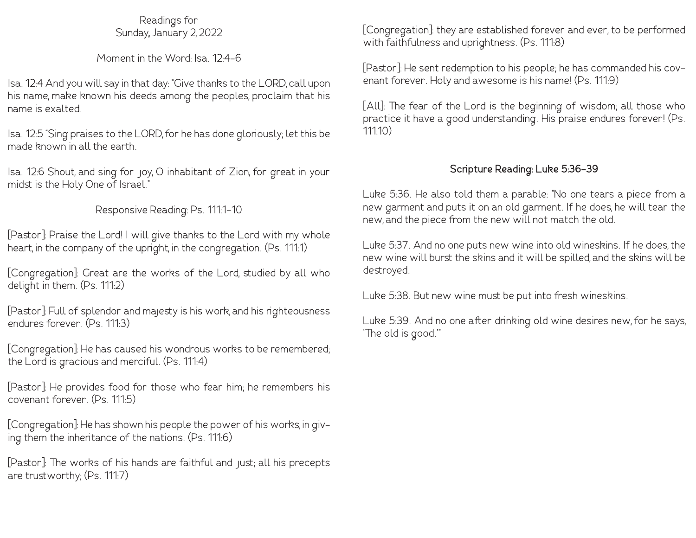## Readings for Sunday, January 2, 2022

## Moment in the Word: Isa. 12:4-6

Isa. 12:4 And you will say in that day: "Give thanks to the LORD, call upon his name, make known his deeds among the peoples, proclaim that his name is exalted.

Isa. 12:5 "Sing praises to the LORD, for he has done gloriously; let this be made known in all the earth.

Isa. 12:6 Shout, and sing for joy, O inhabitant of Zion, for great in your midst is the Holy One of Israel."

## Responsive Reading: Ps. 111:1-10

[Pastor]: Praise the Lord! I will give thanks to the Lord with my whole heart, in the company of the upright, in the congregation. (Ps. 111:1)

[Congregation]: Great are the works of the Lord, studied by all who delight in them. (Ps. 111:2)

[Pastor]: Full of splendor and majesty is his work, and his righteousness endures forever. (Ps. 111:3)

[Congregation]: He has caused his wondrous works to be remembered; the Lord is gracious and merciful. (Ps. 111:4)

[Pastor]: He provides food for those who fear him; he remembers his covenant forever. (Ps. 111:5)

[Congregation]: He has shown his people the power of his works, in giving them the inheritance of the nations. (Ps. 111:6)

[Pastor]: The works of his hands are faithful and just; all his precepts are trustworthy; (Ps. 111:7)

[Congregation]: they are established forever and ever, to be performed with faithfulness and uprightness. (Ps. 111:8)

[Pastor]: He sent redemption to his people; he has commanded his covenant forever. Holy and awesome is his name! (Ps. 111:9)

[All]: The fear of the Lord is the beginning of wisdom; all those who practice it have a good understanding. His praise endures forever! (Ps. 111:10)

## **Scripture Reading: Luke 5:36-39**

Luke 5:36. He also told them a parable: "No one tears a piece from a new garment and puts it on an old garment. If he does, he will tear the new, and the piece from the new will not match the old.

Luke 5:37. And no one puts new wine into old wineskins. If he does, the new wine will burst the skins and it will be spilled, and the skins will be destroyed.

Luke 5:38. But new wine must be put into fresh wineskins.

Luke 5:39. And no one after drinking old wine desires new, for he says, 'The old is good.'"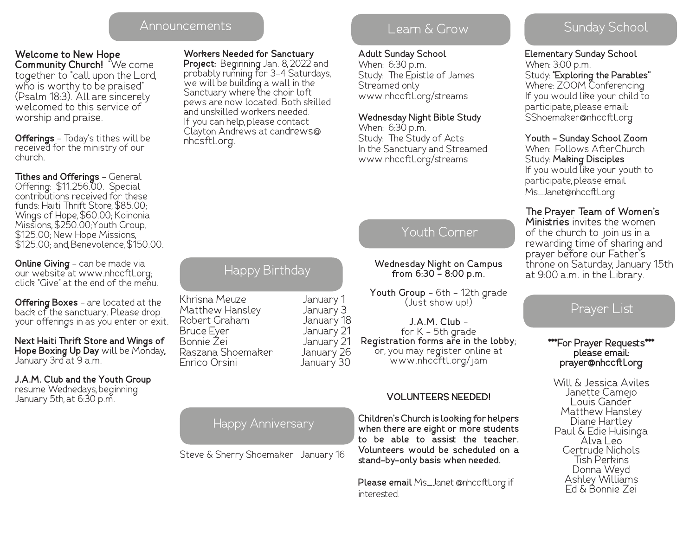## Announcements and the Learn & Grow and Sunday School

## **Welcome to New Hope**

**Community Church!** "We come together to "call upon the Lord, who is worthy to be praised" (Psalm 18:3). All are sincerely welcomed to this service of worship and praise.

**Offerings** - Today's tithes will be received for the ministry of our church.

#### **Tithes and Offerings** - General Offering: \$11.256.00. Special contributions received for these funds: Haiti Thrift Store, \$85.00; Wings of Hope, \$60.00; Koinonia Missions, \$250.00;Youth Group, \$125.00; New Hope Missions, \$125.00; and, Benevolence, \$150.00.

**Online Giving** - can be made via our website at www.nhccftl.org; click "Give" at the end of the menu.

**Offering Boxes** - are located at the back of the sanctuary. Please drop your offerings in as you enter or exit.

**Next Haiti Thrift Store and Wings of Hope Boxing Up Day** will be Monday, January 3rd at 9 a.m.

**J.A.M. Club and the Youth Group**  resume Wednedays, beginning January 5th, at 6:30 p.m.

## **Workers Needed for Sanctuary**

**Project:** Beginning Jan. 8, 2022 and probably running for 3-4 Saturdays, we will be building a wall in the Sanctuary where the choir loft pews are now located. Both skilled and unskilled workers needed. If you can help, please contact Clayton Andrews at candrews@ nhcsftl.org.

## Learn & Grow

## **Adult Sunday School**

When: 6:30 p.m. Study: The Epistle of James Streamed only www.nhccftl.org/streams

#### **Wednesday Night Bible Study**

When: 6:30 p.m. Study: The Study of Acts In the Sanctuary and Streamed www.nhccftl.org/streams

## Youth Corner

**Wednesday Night on Campus from 6:30 - 8:00 p.m.**

**Youth Group** - 6th - 12th grade (Just show up!)

**J.A.M. Club**  for K - 5th grade **Registration forms are in the lobby**; or, you may register online at www.nhccftl.org/jam

## **VOLUNTEERS NEEDED!**

**Children's Church is looking for helpers when there are eight or more students to be able to assist the teacher. Volunteers would be scheduled on a stand-by-only basis when needed.** 

**Please email** Ms\_Janet @nhccftl.org if interested.

**Elementary Sunday School** When: 3:00 p.m. Study: **"Exploring the Parables"** Where: ZOOM Conferencing If you would like your child to participate, please email: SShoemaker@nhccftl.org

**Youth - Sunday School Zoom** When: Follows AfterChurch Study: **Making Disciples** If you would like your youth to participate, please email Ms\_Janet@nhccftl.org

## **The Prayer Team of Women's**

**Ministries** invites the women of the church to join us in a rewarding time of sharing and prayer before our Father's throne on Saturday, January 15th at 9:00 a.m. in the Library.

## Prayer List

## **\*\*\*For Prayer Requests\*\*\* please email: prayer@nhccftl.org**

Will & Jessica Aviles Janette Camejo Louis Gander Matthew Hansley Paul & Edie Huisinga<br>Alva Leo Gertrude Nichols Tish Perkins Donna Weyd Ashley Williams Ed & Bonnie Zei

## Happy Anniversary

Steve & Sherry Shoemaker January 16

## Happy Birthday

| Khrisna Meuze     | January 1  |
|-------------------|------------|
| Matthew Hansley   | January 3  |
| Robert Graham     | January 18 |
| Bruce Eyer        | January 21 |
| Bonnie Zei        | January 21 |
| Raszana Shoemaker | January 26 |
| Enrico Orsini     | January 30 |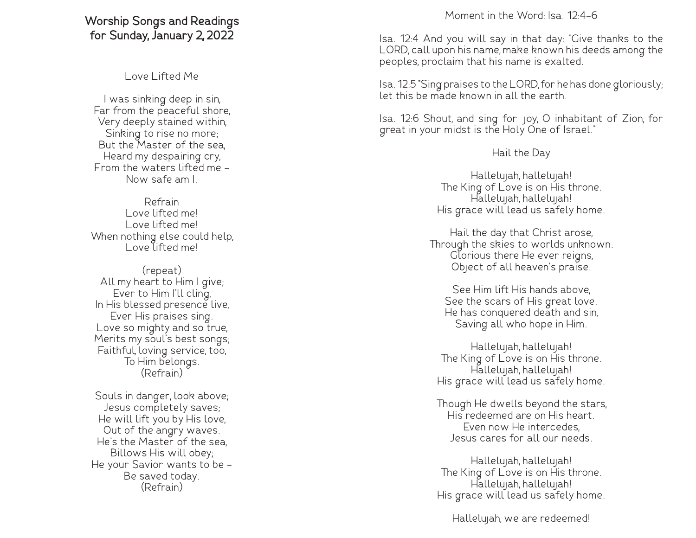## **Worship Songs and Readings for Sunday, January 2, 2022**

Love Lifted Me

I was sinking deep in sin, Far from the peaceful shore, Very deeply stained within, Sinking to rise no more; But the Master of the sea, Heard my despairing cry, From the waters lifted me - Now safe am I.

Refrain Love lifted me! Love lifted me! When nothing else could help, Love lifted me!

(repeat) All my heart to Him I give; Ever to Him I'll cling, In His blessed presence live, Ever His praises sing. Love so mighty and so true, Merits my soul's best songs; Faithful, loving service, too, To Him belongs. (Refrain)

Souls in danger, look above; Jesus completely saves; He will lift you by His love, Out of the angry waves. He's the Master of the sea, Billows His will obey; He your Savior wants to be - Be saved today. (Refrain)

Moment in the Word: Isa. 12:4-6

Isa. 12:4 And you will say in that day: "Give thanks to the LORD, call upon his name, make known his deeds among the peoples, proclaim that his name is exalted.

Isa. 12:5 "Sing praises to the LORD, for he has done gloriously; let this be made known in all the earth.

Isa. 12:6 Shout, and sing for joy, O inhabitant of Zion, for great in your midst is the Holy One of Israel."

Hail the Day

Hallelujah, hallelujah! The King of Love is on His throne. Hallelujah, hallelujah! His grace will lead us safely home.

Hail the day that Christ arose, Through the skies to worlds unknown. Glorious there He ever reigns, Object of all heaven's praise.

See Him lift His hands above, See the scars of His great love. He has conquered death and sin, Saving all who hope in Him.

Hallelujah, hallelujah! The King of Love is on His throne. Hallelujah, hallelujah! His grace will lead us safely home.

Though He dwells beyond the stars, His redeemed are on His heart. Even now He intercedes, Jesus cares for all our needs.

Hallelujah, hallelujah! The King of Love is on His throne. Hallelujah, hallelujah! His grace will lead us safely home.

Hallelujah, we are redeemed!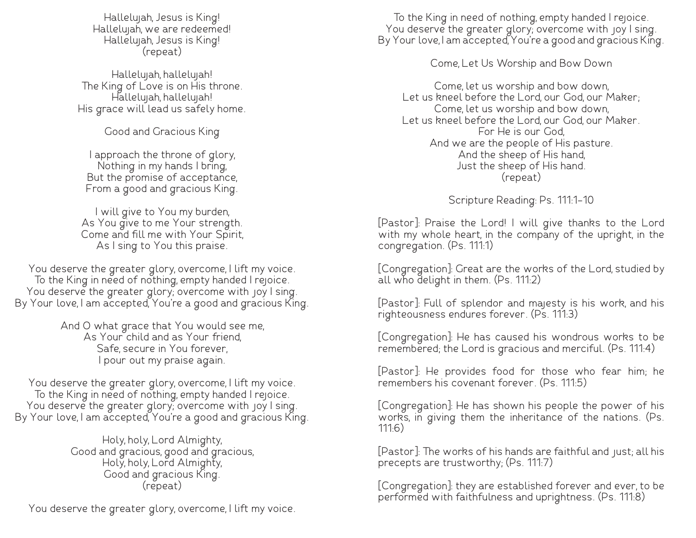Hallelujah, Jesus is King! Hallelujah, we are redeemed! Hallelujah, Jesus is King! (repeat)

Hallelujah, hallelujah! The King of Love is on His throne. Hallelujah, hallelujah! His grace will lead us safely home.

Good and Gracious King

I approach the throne of glory, Nothing in my hands I bring, But the promise of acceptance, From a good and gracious King.

I will give to You my burden, As You give to me Your strength. Come and fill me with Your Spirit, As I sing to You this praise.

You deserve the greater glory, overcome, I lift my voice. To the King in need of nothing, empty handed I rejoice. You deserve the greater glory; overcome with joy I sing. By Your love, I am accepted, You're a good and gracious King.

> And O what grace that You would see me, As Your child and as Your friend, Safe, secure in You forever, I pour out my praise again.

You deserve the greater glory, overcome, I lift my voice. To the King in need of nothing, empty handed I rejoice. You deserve the greater glory; overcome with joy I sing. By Your love, I am accepted, You're a good and gracious King.

> Holy, holy, Lord Almighty, Good and gracious, good and gracious, Holy, holy, Lord Almighty, Good and gracious King. (repeat)

You deserve the greater glory, overcome, I lift my voice.

To the King in need of nothing, empty handed I rejoice. You deserve the greater glory; overcome with joy I sing. By Your love, I am accepted, You're a good and gracious King.

Come, Let Us Worship and Bow Down

Come, let us worship and bow down, Let us kneel before the Lord, our God, our Maker; Come, let us worship and bow down, Let us kneel before the Lord, our God, our Maker. For He is our God, And we are the people of His pasture. And the sheep of His hand, Just the sheep of His hand. (repeat)

Scripture Reading: Ps. 111:1-10

[Pastor]: Praise the Lord! I will give thanks to the Lord with my whole heart, in the company of the upright, in the congregation. (Ps. 111:1)

[Congregation]: Great are the works of the Lord, studied by all who delight in them. (Ps. 111:2)

[Pastor]: Full of splendor and majesty is his work, and his righteousness endures forever. (Ps. 111:3)

[Congregation]: He has caused his wondrous works to be remembered; the Lord is gracious and merciful. (Ps. 111:4)

[Pastor]: He provides food for those who fear him; he remembers his covenant forever. (Ps. 111:5)

[Congregation]: He has shown his people the power of his works, in giving them the inheritance of the nations. (Ps. 111:6)

[Pastor]: The works of his hands are faithful and just; all his precepts are trustworthy; (Ps. 111:7)

[Congregation]: they are established forever and ever, to be performed with faithfulness and uprightness. (Ps. 111:8)